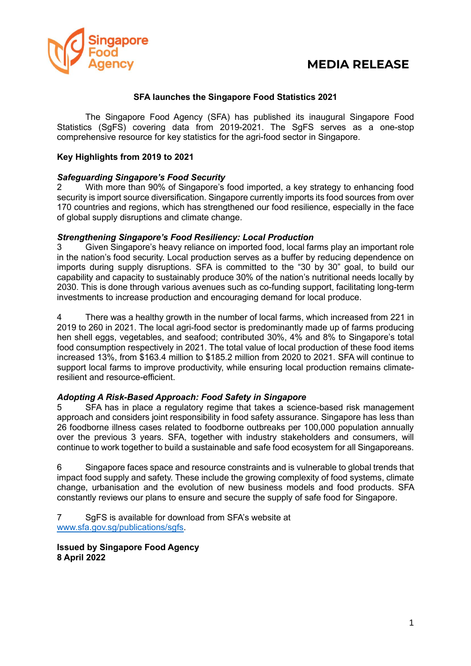

## **MEDIA RELEASE**

## **SFA launches the Singapore Food Statistics 2021**

The Singapore Food Agency (SFA) has published its inaugural Singapore Food Statistics (SgFS) covering data from 2019-2021. The SgFS serves as a one-stop comprehensive resource for key statistics for the agri-food sector in Singapore.

## **Key Highlights from 2019 to 2021**

#### *Safeguarding Singapore's Food Security*

2 With more than 90% of Singapore's food imported, a key strategy to enhancing food security is import source diversification. Singapore currently imports its food sources from over 170 countries and regions, which has strengthened our food resilience, especially in the face of global supply disruptions and climate change.

#### *Strengthening Singapore's Food Resiliency: Local Production*

3 Given Singapore's heavy reliance on imported food, local farms play an important role in the nation's food security. Local production serves as a buffer by reducing dependence on imports during supply disruptions. SFA is committed to the "30 by 30" goal, to build our capability and capacity to sustainably produce 30% of the nation's nutritional needs locally by 2030. This is done through various avenues such as co-funding support, facilitating long-term investments to increase production and encouraging demand for local produce.

4 There was a healthy growth in the number of local farms, which increased from 221 in 2019 to 260 in 2021. The local agri-food sector is predominantly made up of farms producing hen shell eggs, vegetables, and seafood; contributed 30%, 4% and 8% to Singapore's total food consumption respectively in 2021. The total value of local production of these food items increased 13%, from \$163.4 million to \$185.2 million from 2020 to 2021. SFA will continue to support local farms to improve productivity, while ensuring local production remains climateresilient and resource-efficient.

## *Adopting A Risk-Based Approach: Food Safety in Singapore*

5 SFA has in place a regulatory regime that takes a science-based risk management approach and considers joint responsibility in food safety assurance. Singapore has less than 26 foodborne illness cases related to foodborne outbreaks per 100,000 population annually over the previous 3 years. SFA, together with industry stakeholders and consumers, will continue to work together to build a sustainable and safe food ecosystem for all Singaporeans.

6 Singapore faces space and resource constraints and is vulnerable to global trends that impact food supply and safety. These include the growing complexity of food systems, climate change, urbanisation and the evolution of new business models and food products. SFA constantly reviews our plans to ensure and secure the supply of safe food for Singapore.

7 SgFS is available for download from SFA's website at [www.sfa.gov.sg/publications/sgfs.](http://www.sfa.gov.sg/publications/sgfs)

**Issued by Singapore Food Agency 8 April 2022**